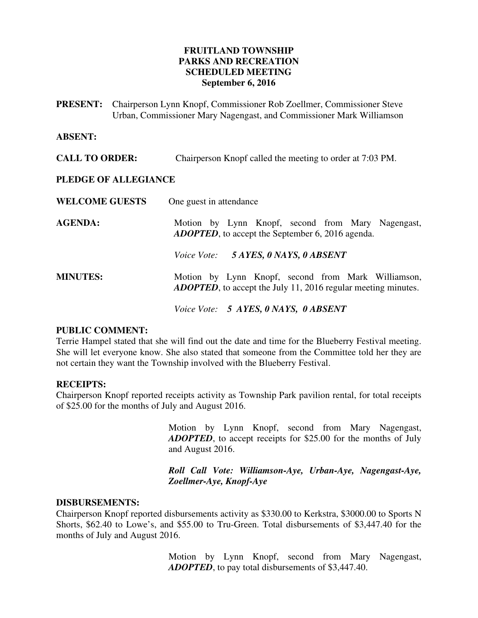# **FRUITLAND TOWNSHIP PARKS AND RECREATION SCHEDULED MEETING September 6, 2016**

**PRESENT:** Chairperson Lynn Knopf, Commissioner Rob Zoellmer, Commissioner Steve Urban, Commissioner Mary Nagengast, and Commissioner Mark Williamson

#### **ABSENT:**

**CALL TO ORDER:** Chairperson Knopf called the meeting to order at 7:03 PM.

#### **PLEDGE OF ALLEGIANCE**

| <b>WELCOME GUESTS</b> | One guest in attendance                                                                                                     |
|-----------------------|-----------------------------------------------------------------------------------------------------------------------------|
| <b>AGENDA:</b>        | Motion by Lynn Knopf, second from Mary Nagengast,<br><b>ADOPTED</b> , to accept the September 6, 2016 agenda.               |
|                       | Voice Vote: 5 AYES, 0 NAYS, 0 ABSENT                                                                                        |
| <b>MINUTES:</b>       | Motion by Lynn Knopf, second from Mark Williamson,<br><b>ADOPTED</b> , to accept the July 11, 2016 regular meeting minutes. |
|                       | Voice Vote: 5 AYES, 0 NAYS, 0 ABSENT                                                                                        |

#### **PUBLIC COMMENT:**

Terrie Hampel stated that she will find out the date and time for the Blueberry Festival meeting. She will let everyone know. She also stated that someone from the Committee told her they are not certain they want the Township involved with the Blueberry Festival.

# **RECEIPTS:**

Chairperson Knopf reported receipts activity as Township Park pavilion rental, for total receipts of \$25.00 for the months of July and August 2016.

> Motion by Lynn Knopf, second from Mary Nagengast, *ADOPTED*, to accept receipts for \$25.00 for the months of July and August 2016.

> *Roll Call Vote: Williamson-Aye, Urban-Aye, Nagengast-Aye, Zoellmer-Aye, Knopf-Aye*

#### **DISBURSEMENTS:**

Chairperson Knopf reported disbursements activity as \$330.00 to Kerkstra, \$3000.00 to Sports N Shorts, \$62.40 to Lowe's, and \$55.00 to Tru-Green. Total disbursements of \$3,447.40 for the months of July and August 2016.

> Motion by Lynn Knopf, second from Mary Nagengast, *ADOPTED*, to pay total disbursements of \$3,447.40.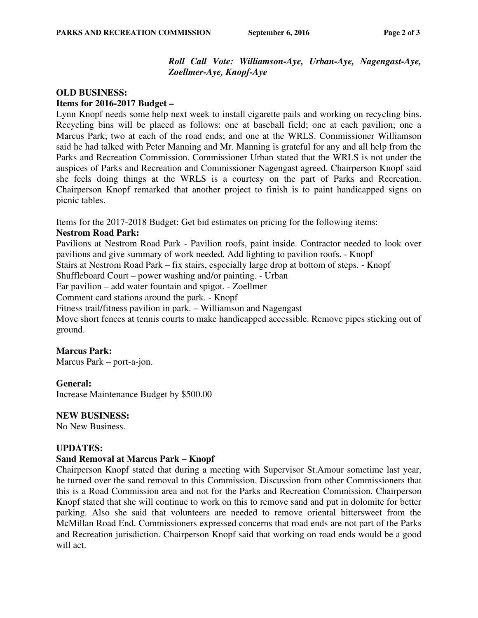# *Roll Call Vote: Williamson-Aye, Urban-Aye, Nagengast-Aye, Zoellmer-Aye, Knopf-Aye*

# **OLD BUSINESS: Items for 2016-2017 Budget –**

Lynn Knopf needs some help next week to install cigarette pails and working on recycling bins. Recycling bins will be placed as follows: one at baseball field; one at each pavilion; one a Marcus Park; two at each of the road ends; and one at the WRLS. Commissioner Williamson said he had talked with Peter Manning and Mr. Manning is grateful for any and all help from the Parks and Recreation Commission. Commissioner Urban stated that the WRLS is not under the auspices of Parks and Recreation and Commissioner Nagengast agreed. Chairperson Knopf said she feels doing things at the WRLS is a courtesy on the part of Parks and Recreation. Chairperson Knopf remarked that another project to finish is to paint handicapped signs on picnic tables.

Items for the 2017-2018 Budget: Get bid estimates on pricing for the following items:

# **Nestrom Road Park:**

Pavilions at Nestrom Road Park - Pavilion roofs, paint inside. Contractor needed to look over pavilions and give summary of work needed. Add lighting to pavilion roofs. - Knopf

Stairs at Nestrom Road Park – fix stairs, especially large drop at bottom of steps. - Knopf

Shuffleboard Court – power washing and/or painting. - Urban

Far pavilion – add water fountain and spigot. - Zoellmer

Comment card stations around the park. - Knopf

Fitness trail/fitness pavilion in park. – Williamson and Nagengast

Move short fences at tennis courts to make handicapped accessible. Remove pipes sticking out of ground.

# **Marcus Park:**

Marcus Park – port-a-jon.

# **General:**

Increase Maintenance Budget by \$500.00

# **NEW BUSINESS:**

No New Business.

# **UPDATES:**

# **Sand Removal at Marcus Park – Knopf**

Chairperson Knopf stated that during a meeting with Supervisor St.Amour sometime last year, he turned over the sand removal to this Commission. Discussion from other Commissioners that this is a Road Commission area and not for the Parks and Recreation Commission. Chairperson Knopf stated that she will continue to work on this to remove sand and put in dolomite for better parking. Also she said that volunteers are needed to remove oriental bittersweet from the McMillan Road End. Commissioners expressed concerns that road ends are not part of the Parks and Recreation jurisdiction. Chairperson Knopf said that working on road ends would be a good will act.